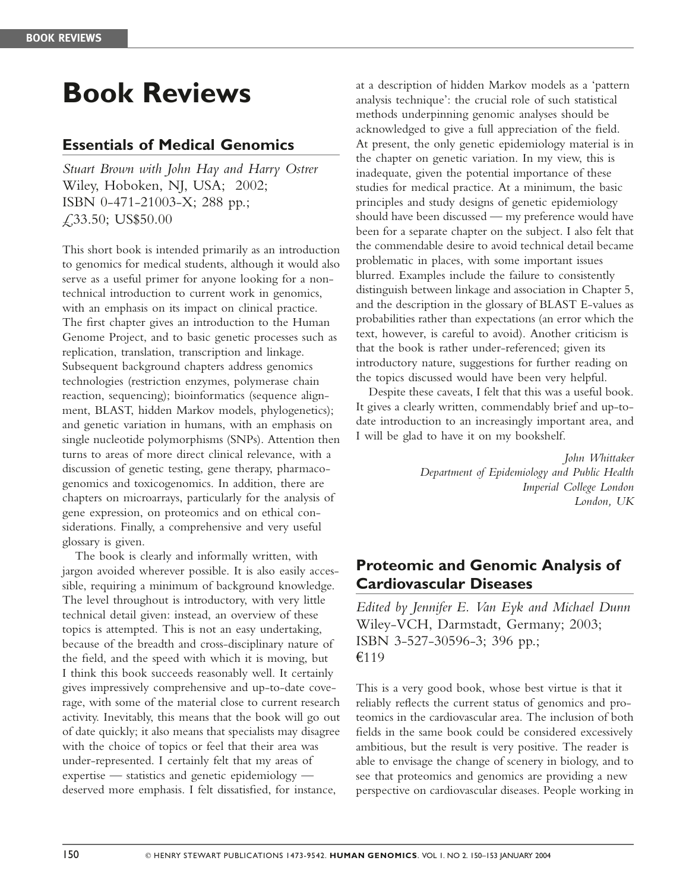## Book Reviews

## Essentials of Medical Genomics

Stuart Brown with John Hay and Harry Ostrer Wiley, Hoboken, NJ, USA; 2002; ISBN 0-471-21003-X; 288 pp.;  $\text{\textsterling}33.50; \text{US} $50.00$ 

This short book is intended primarily as an introduction to genomics for medical students, although it would also serve as a useful primer for anyone looking for a nontechnical introduction to current work in genomics, with an emphasis on its impact on clinical practice. The first chapter gives an introduction to the Human Genome Project, and to basic genetic processes such as replication, translation, transcription and linkage. Subsequent background chapters address genomics technologies (restriction enzymes, polymerase chain reaction, sequencing); bioinformatics (sequence alignment, BLAST, hidden Markov models, phylogenetics); and genetic variation in humans, with an emphasis on single nucleotide polymorphisms (SNPs). Attention then turns to areas of more direct clinical relevance, with a discussion of genetic testing, gene therapy, pharmacogenomics and toxicogenomics. In addition, there are chapters on microarrays, particularly for the analysis of gene expression, on proteomics and on ethical considerations. Finally, a comprehensive and very useful glossary is given.

The book is clearly and informally written, with jargon avoided wherever possible. It is also easily accessible, requiring a minimum of background knowledge. The level throughout is introductory, with very little technical detail given: instead, an overview of these topics is attempted. This is not an easy undertaking, because of the breadth and cross-disciplinary nature of the field, and the speed with which it is moving, but I think this book succeeds reasonably well. It certainly gives impressively comprehensive and up-to-date coverage, with some of the material close to current research activity. Inevitably, this means that the book will go out of date quickly; it also means that specialists may disagree with the choice of topics or feel that their area was under-represented. I certainly felt that my areas of expertise — statistics and genetic epidemiology deserved more emphasis. I felt dissatisfied, for instance,

at a description of hidden Markov models as a 'pattern analysis technique': the crucial role of such statistical methods underpinning genomic analyses should be acknowledged to give a full appreciation of the field. At present, the only genetic epidemiology material is in the chapter on genetic variation. In my view, this is inadequate, given the potential importance of these studies for medical practice. At a minimum, the basic principles and study designs of genetic epidemiology should have been discussed — my preference would have been for a separate chapter on the subject. I also felt that the commendable desire to avoid technical detail became problematic in places, with some important issues blurred. Examples include the failure to consistently distinguish between linkage and association in Chapter 5, and the description in the glossary of BLAST E-values as probabilities rather than expectations (an error which the text, however, is careful to avoid). Another criticism is that the book is rather under-referenced; given its introductory nature, suggestions for further reading on the topics discussed would have been very helpful.

Despite these caveats, I felt that this was a useful book. It gives a clearly written, commendably brief and up-todate introduction to an increasingly important area, and I will be glad to have it on my bookshelf.

> John Whittaker Department of Epidemiology and Public Health Imperial College London London, UK

## Proteomic and Genomic Analysis of Cardiovascular Diseases

Edited by Jennifer E. Van Eyk and Michael Dunn Wiley-VCH, Darmstadt, Germany; 2003; ISBN 3-527-30596-3; 396 pp.;  $£119$ 

This is a very good book, whose best virtue is that it reliably reflects the current status of genomics and proteomics in the cardiovascular area. The inclusion of both fields in the same book could be considered excessively ambitious, but the result is very positive. The reader is able to envisage the change of scenery in biology, and to see that proteomics and genomics are providing a new perspective on cardiovascular diseases. People working in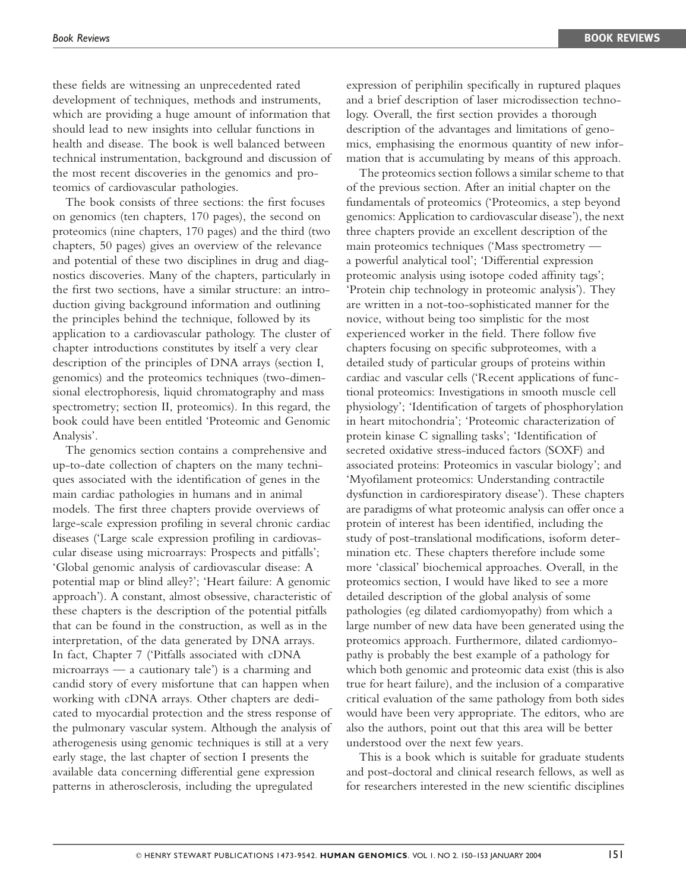these fields are witnessing an unprecedented rated development of techniques, methods and instruments, which are providing a huge amount of information that should lead to new insights into cellular functions in health and disease. The book is well balanced between technical instrumentation, background and discussion of the most recent discoveries in the genomics and proteomics of cardiovascular pathologies.

The book consists of three sections: the first focuses on genomics (ten chapters, 170 pages), the second on proteomics (nine chapters, 170 pages) and the third (two chapters, 50 pages) gives an overview of the relevance and potential of these two disciplines in drug and diagnostics discoveries. Many of the chapters, particularly in the first two sections, have a similar structure: an introduction giving background information and outlining the principles behind the technique, followed by its application to a cardiovascular pathology. The cluster of chapter introductions constitutes by itself a very clear description of the principles of DNA arrays (section I, genomics) and the proteomics techniques (two-dimensional electrophoresis, liquid chromatography and mass spectrometry; section II, proteomics). In this regard, the book could have been entitled 'Proteomic and Genomic Analysis'.

The genomics section contains a comprehensive and up-to-date collection of chapters on the many techniques associated with the identification of genes in the main cardiac pathologies in humans and in animal models. The first three chapters provide overviews of large-scale expression profiling in several chronic cardiac diseases ('Large scale expression profiling in cardiovascular disease using microarrays: Prospects and pitfalls'; 'Global genomic analysis of cardiovascular disease: A potential map or blind alley?'; 'Heart failure: A genomic approach'). A constant, almost obsessive, characteristic of these chapters is the description of the potential pitfalls that can be found in the construction, as well as in the interpretation, of the data generated by DNA arrays. In fact, Chapter 7 ('Pitfalls associated with cDNA microarrays — a cautionary tale') is a charming and candid story of every misfortune that can happen when working with cDNA arrays. Other chapters are dedicated to myocardial protection and the stress response of the pulmonary vascular system. Although the analysis of atherogenesis using genomic techniques is still at a very early stage, the last chapter of section I presents the available data concerning differential gene expression patterns in atherosclerosis, including the upregulated

expression of periphilin specifically in ruptured plaques and a brief description of laser microdissection technology. Overall, the first section provides a thorough description of the advantages and limitations of genomics, emphasising the enormous quantity of new information that is accumulating by means of this approach.

The proteomics section follows a similar scheme to that of the previous section. After an initial chapter on the fundamentals of proteomics ('Proteomics, a step beyond genomics: Application to cardiovascular disease'), the next three chapters provide an excellent description of the main proteomics techniques ('Mass spectrometry a powerful analytical tool'; 'Differential expression proteomic analysis using isotope coded affinity tags'; 'Protein chip technology in proteomic analysis'). They are written in a not-too-sophisticated manner for the novice, without being too simplistic for the most experienced worker in the field. There follow five chapters focusing on specific subproteomes, with a detailed study of particular groups of proteins within cardiac and vascular cells ('Recent applications of functional proteomics: Investigations in smooth muscle cell physiology'; 'Identification of targets of phosphorylation in heart mitochondria'; 'Proteomic characterization of protein kinase C signalling tasks'; 'Identification of secreted oxidative stress-induced factors (SOXF) and associated proteins: Proteomics in vascular biology'; and 'Myofilament proteomics: Understanding contractile dysfunction in cardiorespiratory disease'). These chapters are paradigms of what proteomic analysis can offer once a protein of interest has been identified, including the study of post-translational modifications, isoform determination etc. These chapters therefore include some more 'classical' biochemical approaches. Overall, in the proteomics section, I would have liked to see a more detailed description of the global analysis of some pathologies (eg dilated cardiomyopathy) from which a large number of new data have been generated using the proteomics approach. Furthermore, dilated cardiomyopathy is probably the best example of a pathology for which both genomic and proteomic data exist (this is also true for heart failure), and the inclusion of a comparative critical evaluation of the same pathology from both sides would have been very appropriate. The editors, who are also the authors, point out that this area will be better understood over the next few years.

This is a book which is suitable for graduate students and post-doctoral and clinical research fellows, as well as for researchers interested in the new scientific disciplines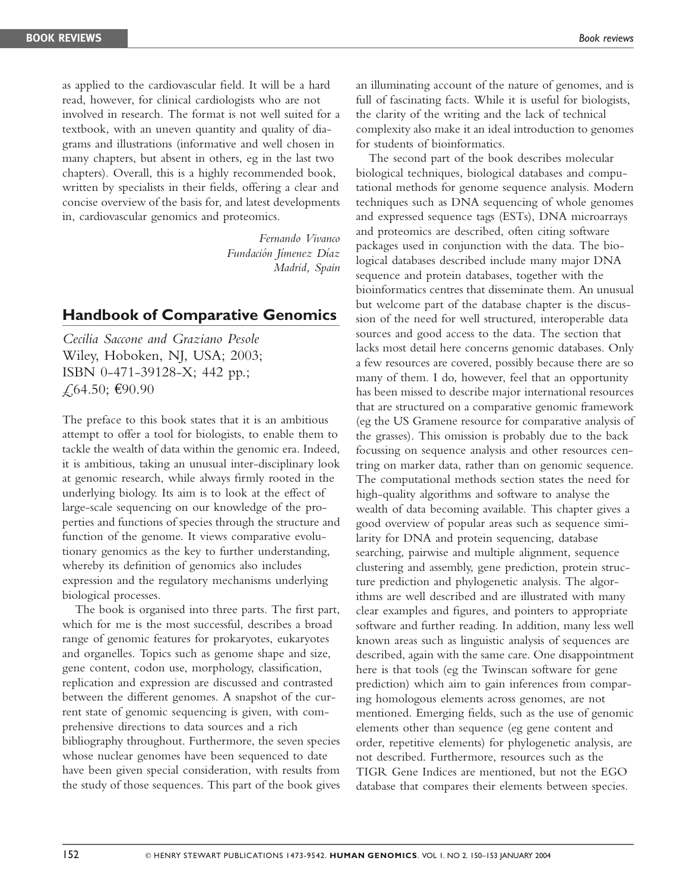as applied to the cardiovascular field. It will be a hard read, however, for clinical cardiologists who are not involved in research. The format is not well suited for a textbook, with an uneven quantity and quality of diagrams and illustrations (informative and well chosen in many chapters, but absent in others, eg in the last two chapters). Overall, this is a highly recommended book, written by specialists in their fields, offering a clear and concise overview of the basis for, and latest developments in, cardiovascular genomics and proteomics.

> Fernando Vivanco Fundación Jímenez Díaz Madrid, Spain

## Handbook of Comparative Genomics

Cecilia Saccone and Graziano Pesole Wiley, Hoboken, NJ, USA; 2003; ISBN 0-471-39128-X; 442 pp.;  $£,64.50; €90.90$ 

The preface to this book states that it is an ambitious attempt to offer a tool for biologists, to enable them to tackle the wealth of data within the genomic era. Indeed, it is ambitious, taking an unusual inter-disciplinary look at genomic research, while always firmly rooted in the underlying biology. Its aim is to look at the effect of large-scale sequencing on our knowledge of the properties and functions of species through the structure and function of the genome. It views comparative evolutionary genomics as the key to further understanding, whereby its definition of genomics also includes expression and the regulatory mechanisms underlying biological processes.

The book is organised into three parts. The first part, which for me is the most successful, describes a broad range of genomic features for prokaryotes, eukaryotes and organelles. Topics such as genome shape and size, gene content, codon use, morphology, classification, replication and expression are discussed and contrasted between the different genomes. A snapshot of the current state of genomic sequencing is given, with comprehensive directions to data sources and a rich bibliography throughout. Furthermore, the seven species whose nuclear genomes have been sequenced to date have been given special consideration, with results from the study of those sequences. This part of the book gives

an illuminating account of the nature of genomes, and is full of fascinating facts. While it is useful for biologists, the clarity of the writing and the lack of technical complexity also make it an ideal introduction to genomes for students of bioinformatics.

The second part of the book describes molecular biological techniques, biological databases and computational methods for genome sequence analysis. Modern techniques such as DNA sequencing of whole genomes and expressed sequence tags (ESTs), DNA microarrays and proteomics are described, often citing software packages used in conjunction with the data. The biological databases described include many major DNA sequence and protein databases, together with the bioinformatics centres that disseminate them. An unusual but welcome part of the database chapter is the discussion of the need for well structured, interoperable data sources and good access to the data. The section that lacks most detail here concerns genomic databases. Only a few resources are covered, possibly because there are so many of them. I do, however, feel that an opportunity has been missed to describe major international resources that are structured on a comparative genomic framework (eg the US Gramene resource for comparative analysis of the grasses). This omission is probably due to the back focussing on sequence analysis and other resources centring on marker data, rather than on genomic sequence. The computational methods section states the need for high-quality algorithms and software to analyse the wealth of data becoming available. This chapter gives a good overview of popular areas such as sequence similarity for DNA and protein sequencing, database searching, pairwise and multiple alignment, sequence clustering and assembly, gene prediction, protein structure prediction and phylogenetic analysis. The algorithms are well described and are illustrated with many clear examples and figures, and pointers to appropriate software and further reading. In addition, many less well known areas such as linguistic analysis of sequences are described, again with the same care. One disappointment here is that tools (eg the Twinscan software for gene prediction) which aim to gain inferences from comparing homologous elements across genomes, are not mentioned. Emerging fields, such as the use of genomic elements other than sequence (eg gene content and order, repetitive elements) for phylogenetic analysis, are not described. Furthermore, resources such as the TIGR Gene Indices are mentioned, but not the EGO database that compares their elements between species.